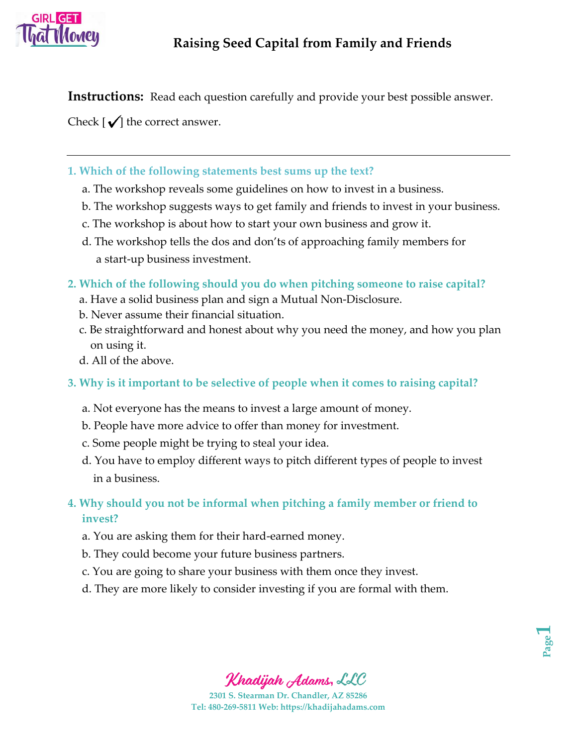

**Instructions:** Read each question carefully and provide your best possible answer.

Check  $[\sqrt{\ }]$  the correct answer.

- **1. Which of the following statements best sums up the text?**
	- a. The workshop reveals some guidelines on how to invest in a business.
	- b. The workshop suggests ways to get family and friends to invest in your business.
	- c. The workshop is about how to start your own business and grow it.
	- d. The workshop tells the dos and don'ts of approaching family members for a start-up business investment.
- **2. Which of the following should you do when pitching someone to raise capital?**
	- a. Have a solid business plan and sign a Mutual Non-Disclosure.
	- b. Never assume their financial situation.
	- c. Be straightforward and honest about why you need the money, and how you plan on using it.
	- d. All of the above.
- **3. Why is it important to be selective of people when it comes to raising capital?**
	- a. Not everyone has the means to invest a large amount of money.
	- b. People have more advice to offer than money for investment.
	- c. Some people might be trying to steal your idea.
	- d. You have to employ different ways to pitch different types of people to invest in a business.
- **4. Why should you not be informal when pitching a family member or friend to invest?**
	- a. You are asking them for their hard-earned money.
	- b. They could become your future business partners.
	- c. You are going to share your business with them once they invest.
	- d. They are more likely to consider investing if you are formal with them.



Khadijah Adams, LLC

**2301 S. Stearman Dr. Chandler, AZ 85286 Tel: 480-269-5811 Web: https://khadijahadams.com**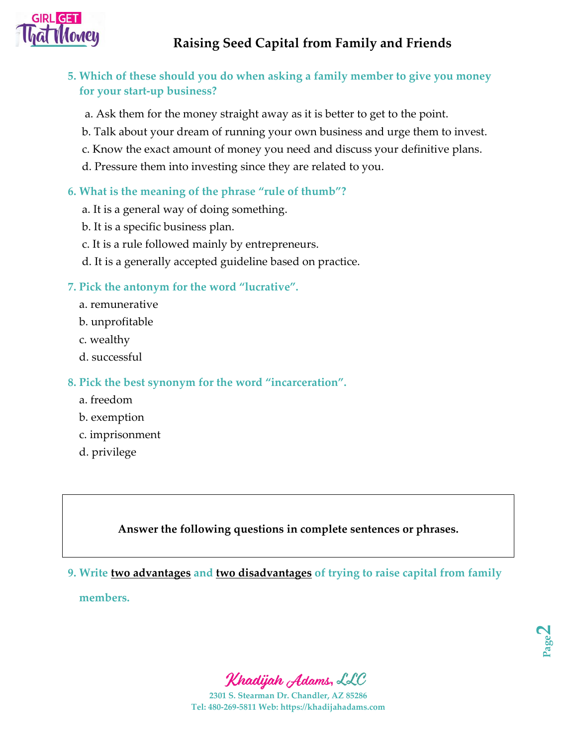

# **5. Which of these should you do when asking a family member to give you money for your start-up business?**

- a. Ask them for the money straight away as it is better to get to the point.
- b. Talk about your dream of running your own business and urge them to invest.
- c. Know the exact amount of money you need and discuss your definitive plans.
- d. Pressure them into investing since they are related to you.

## **6. What is the meaning of the phrase "rule of thumb"?**

- a. It is a general way of doing something.
- b. It is a specific business plan.
- c. It is a rule followed mainly by entrepreneurs.
- d. It is a generally accepted guideline based on practice.

#### **7. Pick the antonym for the word "lucrative".**

- a. remunerative
- b. unprofitable
- c. wealthy
- d. successful

#### **8. Pick the best synonym for the word "incarceration".**

- a. freedom
- b. exemption
- c. imprisonment
- d. privilege

**Answer the following questions in complete sentences or phrases.**

## **9. Write two advantages and two disadvantages of trying to raise capital from family**

 **members.** 



**2301 S. Stearman Dr. Chandler, AZ 85286 Tel: 480-269-5811 Web: https://khadijahadams.com**